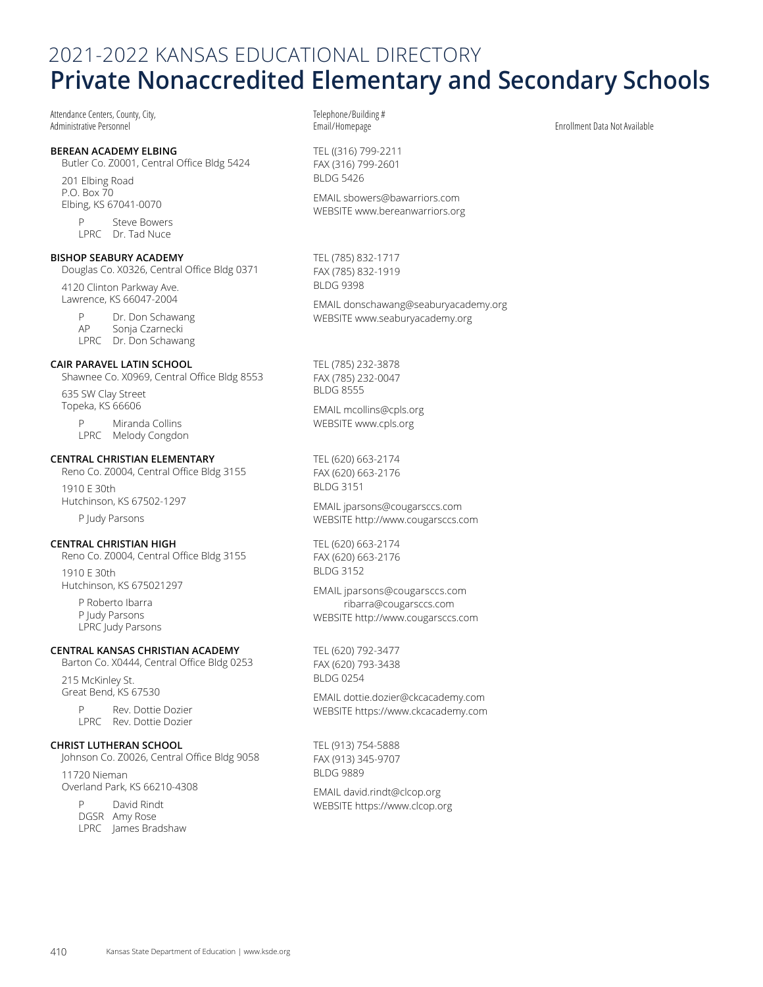# 2021-2022 KANSAS EDUCATIONAL DIRECTORY **Private Nonaccredited Elementary and Secondary Schools**

Attendance Centers, County, City, Administrative Personnel

#### **BEREAN ACADEMY ELBING**

Butler Co. Z0001, Central Office Bldg 5424

201 Elbing Road P.O. Box 70 Elbing, KS 67041-0070

> P Steve Bowers LPRC Dr. Tad Nuce

#### **BISHOP SEABURY ACADEMY**

Douglas Co. X0326, Central Office Bldg 0371 4120 Clinton Parkway Ave. Lawrence, KS 66047-2004

P Dr. Don Schawang<br>AP Sonia Czarnecki Sonja Czarnecki LPRC Dr. Don Schawang

## **CAIR PARAVEL LATIN SCHOOL**

Shawnee Co. X0969, Central Office Bldg 8553

635 SW Clay Street Topeka, KS 66606

> P Miranda Collins LPRC Melody Congdon

#### **CENTRAL CHRISTIAN ELEMENTARY**

Reno Co. Z0004, Central Office Bldg 3155 1910 E 30th Hutchinson, KS 67502-1297

P Judy Parsons

## **CENTRAL CHRISTIAN HIGH**

Reno Co. Z0004, Central Office Bldg 3155 1910 E 30th Hutchinson, KS 675021297

P Roberto Ibarra P Judy Parsons LPRC Judy Parsons

### **CENTRAL KANSAS CHRISTIAN ACADEMY**

Barton Co. X0444, Central Office Bldg 0253

215 McKinley St. Great Bend, KS 67530

> P Rev. Dottie Dozier LPRC Rev. Dottie Dozier

#### **CHRIST LUTHERAN SCHOOL**

Johnson Co. Z0026, Central Office Bldg 9058

11720 Nieman Overland Park, KS 66210-4308

> P David Rindt DGSR Amy Rose LPRC James Bradshaw

Telephone/Building #

TEL ((316) 799-2211 FAX (316) 799-2601 BLDG 5426

EMAIL [sbowers@bawarriors.com](mailto:sbowers%40bawarriors.com?subject=) WEBSITE [www.bereanwarriors.org](http://www.bereanwarriors.org)

TEL (785) 832-1717 FAX (785) 832-1919 BLDG 9398

EMAIL [donschawang@seaburyacademy.org](mailto:donschawang%40seaburyacademy.org?subject=) WEBSITE [www.seaburyacademy.org](http://www.seaburyacademy.org)

TEL (785) 232-3878 FAX (785) 232-0047 BLDG 8555

EMAIL [mcollins@cpls.org](mailto:mcollins%40cpls.org?subject=) WEBSITE [www.cpls.org](http://www.cpls.org)

TEL (620) 663-2174 FAX (620) 663-2176 BLDG 3151

EMAIL [jparsons@cougarsccs.com](mailto:jparsons%40cougarsccs.com?subject=) WEBSITE<http://www.cougarsccs.com>

TEL (620) 663-2174 FAX (620) 663-2176 BLDG 3152

EMAIL jparsons@cougarsccs.com ribarra@cougarsccs.com WEBSITE<http://www.cougarsccs.com>

TEL (620) 792-3477 FAX (620) 793-3438 BLDG 0254

EMAIL [dottie.dozier@ckcacademy.com](mailto:dottie.dozier%40ckcacademy.com?subject=) WEBSITE<https://www.ckcacademy.com>

TEL (913) 754-5888 FAX (913) 345-9707 BLDG 9889

EMAIL [david.rindt@clcop.org](mailto:david.rindt%40clcop.org?subject=) WEBSITE<https://www.clcop.org> Enrollment Data Not Available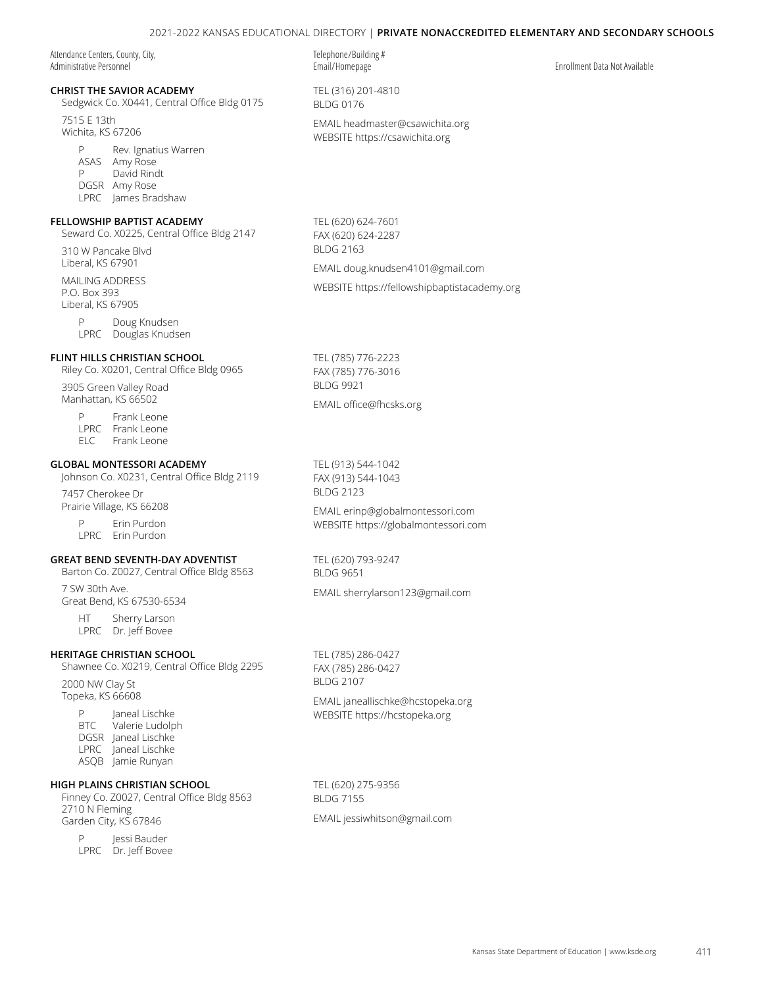## 2021-2022 KANSAS EDUCATIONAL DIRECTORY | **Private Nonaccredited Elementary and Secondary Schools**

Attendance Centers, County, City, Administrative Personnel

## **CHRIST THE SAVIOR ACADEMY**

Sedgwick Co. X0441, Central Office Bldg 0175

7515 E 13th Wichita, KS 67206

> P Rev. Ignatius Warren ASAS Amy Rose P David Rindt DGSR Amy Rose LPRC James Bradshaw

#### **FELLOWSHIP BAPTIST ACADEMY**

Seward Co. X0225, Central Office Bldg 2147

310 W Pancake Blvd Liberal, KS 67901

MAILING ADDRESS P.O. Box 393 Liberal, KS 67905

> P Doug Knudsen LPRC Douglas Knudsen

#### **FLINT HILLS CHRISTIAN SCHOOL**

Riley Co. X0201, Central Office Bldg 0965

3905 Green Valley Road Manhattan, KS 66502

> P Frank Leone LPRC Frank Leone<br>ELC Frank Leone Frank Leone

#### **GLOBAL MONTESSORI ACADEMY**

Johnson Co. X0231, Central Office Bldg 2119

7457 Cherokee Dr Prairie Village, KS 66208

> P Erin Purdon LPRC Erin Purdon

#### **GREAT BEND SEVENTH-DAY ADVENTIST**

Barton Co. Z0027, Central Office Bldg 8563 7 SW 30th Ave.

Great Bend, KS 67530-6534

HT Sherry Larson LPRC Dr. Jeff Bovee

#### **HERITAGE CHRISTIAN SCHOOL**

Shawnee Co. X0219, Central Office Bldg 2295

2000 NW Clay St Topeka, KS 66608

> P Janeal Lischke<br>BTC Valerie Ludolp Valerie Ludolph DGSR Janeal Lischke LPRC Janeal Lischke ASQB Jamie Runyan

## **HIGH PLAINS CHRISTIAN SCHOOL**

Finney Co. Z0027, Central Office Bldg 8563 2710 N Fleming Garden City, KS 67846

P Jessi Bauder LPRC Dr. Jeff Bovee Telephone/Building #

TEL (316) 201-4810 BLDG 0176 EMAIL [headmaster@csawichita.org](mailto:headmaster%40csawichita.org?subject=)

WEBSITE https:/[/csawichita.org](https://csawichita.org)

TEL (620) 624-7601 FAX (620) 624-2287 BLDG 2163 EMAIL [doug.knudsen4101@gmail.com](mailto:doug.knudsen4101%40gmail.com?subject=)

WEBSITE [https://fellowshipbaptistacademy.org](https://fellowshipbaptistacademy.org/)

TEL (785) 776-2223 FAX (785) 776-3016 BLDG 9921

EMAIL [office@fhcsks.org](mailto:office%40fhcsks.org?subject=)

TEL (913) 544-1042 FAX (913) 544-1043 BLDG 2123

EMAIL [erinp@globalmontessori.com](mailto:erinp%40globalmontessori.com?subject=) WEBSITE<https://globalmontessori.com>

TEL (620) 793-9247 BLDG 9651

EMAIL [sherrylarson123@gmail.com](mailto:sherrylarson123%40gmail.com?subject=)

TEL (785) 286-0427 FAX (785) 286-0427 BLDG 2107

EMAIL [janeallischke@hcstopeka.org](mailto:janeallischke%40hcstopeka.org?subject=) WEBSITE https:/[/hcstopeka.org](https://hcstopeka.org)

TEL (620) 275-9356 BLDG 7155 EMAIL [jessiwhitson@gmail.com](mailto:jessiwhitson%40gmail.com?subject=)

Email/Homepage Enrollment Data Not Available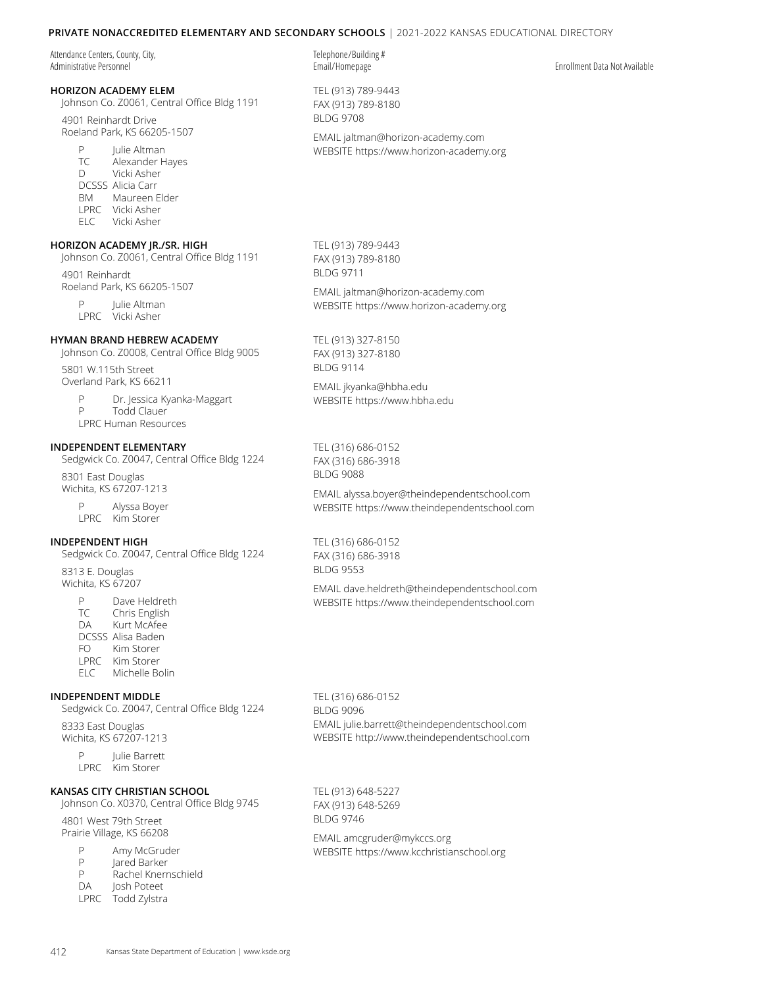## **Private Nonaccredited Elementary and Secondary Schools** | 2021-2022 KANSAS EDUCATIONAL DIRECTORY

Attendance Centers, County, City, Administrative Personnel

# **HORIZON ACADEMY ELEM**

Johnson Co. Z0061, Central Office Bldg 1191

4901 Reinhardt Drive Roeland Park, KS 66205-1507

> P Julie Altman TC Alexander Hayes D Vicki Asher DCSSS Alicia Carr BM Maureen Elder LPRC Vicki Asher ELC Vicki Asher

## **HORIZON ACADEMY JR./SR. HIGH**

Johnson Co. Z0061, Central Office Bldg 1191 4901 Reinhardt

Roeland Park, KS 66205-1507

P Julie Altman LPRC Vicki Asher

#### **HYMAN BRAND HEBREW ACADEMY**

Johnson Co. Z0008, Central Office Bldg 9005

5801 W.115th Street Overland Park, KS 66211

> P Dr. Jessica Kyanka-Maggart P Todd Clauer LPRC Human Resources

#### **INDEPENDENT ELEMENTARY**

Sedgwick Co. Z0047, Central Office Bldg 1224

8301 East Douglas Wichita, KS 67207-1213

> P Alyssa Boyer LPRC Kim Storer

#### **INDEPENDENT HIGH**

Sedgwick Co. Z0047, Central Office Bldg 1224

8313 E. Douglas Wichita, KS 67207

> P Dave Heldreth TC Chris English DA Kurt McAfee DCSSS Alisa Baden FO Kim Storer LPRC Kim Storer ELC Michelle Bolin

#### **INDEPENDENT MIDDLE**

Sedgwick Co. Z0047, Central Office Bldg 1224

8333 East Douglas Wichita, KS 67207-1213

> P Julie Barrett LPRC Kim Storer

#### **KANSAS CITY CHRISTIAN SCHOOL**

Johnson Co. X0370, Central Office Bldg 9745

4801 West 79th Street Prairie Village, KS 66208

- P Amy McGruder<br>P Lared Barker
- lared Barker
- P Rachel Knernschield
- DA Josh Poteet
	-
- LPRC Todd Zylstra

Telephone/Building #

TEL (913) 789-9443 FAX (913) 789-8180 BLDG 9708

EMAIL [jaltman@horizon-academy.com](mailto:jaltman%40horizon-academy.com?subject=) WEBSITE https:/[/www.horizon-academy.org](https://www.horizon-academy.org)

TEL (913) 789-9443 FAX (913) 789-8180 BLDG 9711

EMAIL [jaltman@horizon-academy.com](mailto:jaltman%40horizon-academy.com?subject=) WEBSITE https:/[/www.horizon-academy.org](https://www.horizon-academy.org)

TEL (913) 327-8150 FAX (913) 327-8180 BLDG 9114

EMAIL [jkyanka@hbha.edu](mailto:jkyanka%40hbha.edu?subject=) WEBSITE https:/[/www.hbha.edu](https://www.hbha.edu)

TEL (316) 686-0152 FAX (316) 686-3918 BLDG 9088

EMAIL [alyssa.boyer@theindependentschool.com](mailto:alyssa.boyer%40theindependentschool.com?subject=) WEBSITE [https://www.theindependentschool.com](https://www.theindependentschool.com/)

TEL (316) 686-0152 FAX (316) 686-3918 BLDG 9553

EMAIL [dave.heldreth@theindependentschool.com](mailto:dave.heldreth%40theindependentschool.com?subject=) WEBSITE [https://www.theindependentschool.com](https://www.theindependentschool.com/)

TEL (316) 686-0152 BLDG 9096 EMAIL julie.barrett@theindependentschool.com WEBSITE http://www.theindependentschool.com

TEL (913) 648-5227 FAX (913) 648-5269 BLDG 9746

EMAIL [amcgruder@mykccs.org](mailto:amcgruder%40mykccs.org?subject=) WEBSITE https://w[ww.kcchristianschool.org](https://www.kcchristianschool.org)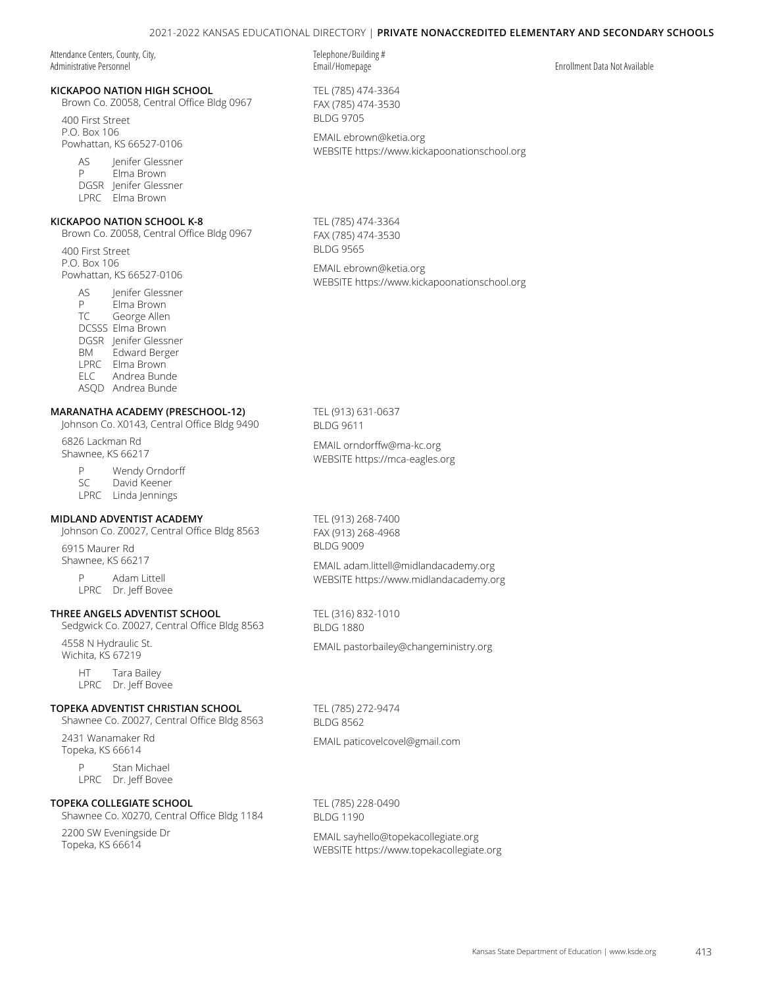Attendance Centers, County, City, Administrative Personnel

#### **KICKAPOO NATION HIGH SCHOOL**

Brown Co. Z0058, Central Office Bldg 0967

400 First Street P.O. Box 106 Powhattan, KS 66527-0106

> AS lenifer Glessner P Elma Brown DGSR Jenifer Glessner LPRC Elma Brown

# **KICKAPOO NATION SCHOOL K-8**

Brown Co. Z0058, Central Office Bldg 0967

400 First Street P.O. Box 106 Powhattan, KS 66527-0106

> AS Jenifer Glessner P Elma Brown TC George Allen DCSSS Elma Brown DGSR Jenifer Glessner BM Edward Berger LPRC Elma Brown ELC Andrea Bunde ASQD Andrea Bunde

## **MARANATHA ACADEMY (PRESCHOOL-12)**

## Johnson Co. X0143, Central Office Bldg 9490

6826 Lackman Rd Shawnee, KS 66217

> P Wendy Orndorff SC David Keener LPRC Linda Jennings

#### **MIDLAND ADVENTIST ACADEMY**

Johnson Co. Z0027, Central Office Bldg 8563

6915 Maurer Rd Shawnee, KS 66217

> P Adam Littell LPRC Dr. Jeff Bovee

#### **THREE ANGELS ADVENTIST SCHOOL**

Sedgwick Co. Z0027, Central Office Bldg 8563

4558 N Hydraulic St. Wichita, KS 67219

> HT Tara Bailey LPRC Dr. Jeff Bovee

#### **TOPEKA ADVENTIST CHRISTIAN SCHOOL**

Shawnee Co. Z0027, Central Office Bldg 8563

2431 Wanamaker Rd Topeka, KS 66614

> P Stan Michael LPRC Dr. Jeff Bovee

## **TOPEKA COLLEGIATE SCHOOL**

Shawnee Co. X0270, Central Office Bldg 1184

2200 SW Eveningside Dr Topeka, KS 66614

Telephone/Building # Email/Homepage Enrollment Data Not Available

TEL (785) 474-3364 FAX (785) 474-3530 BLDG 9705

EMAIL [ebrown@ketia.org](mailto:ebrown%40ketia.org?subject=) WEBSITE<https://www.kickapoonationschool.org>

TEL (785) 474-3364 FAX (785) 474-3530 BLDG 9565

EMAIL [ebrown@ketia.org](mailto:ebrown%40ketia.org?subject=) WEBSITE<https://www.kickapoonationschool.org>

TEL (913) 631-0637 BLDG 9611

EMAIL [orndorffw@ma-kc.org](mailto:orndorffw%40ma-kc.org?subject=) WEBSITE https:/[/mca-eagles.org](https://mca-eagles.org/)

TEL (913) 268-7400 FAX (913) 268-4968

EMAIL [adam.littell@midlandacademy.org](mailto:adam.littell%40midlandacademy.org?subject=) WEBSITE<https://www.midlandacademy.org>

TEL (316) 832-1010 BLDG 1880

EMAIL [pastorbailey@changeministry.org](mailto:pastorbailey%40changeministry.org?subject=)

TEL (785) 272-9474 BLDG 8562

EMAIL [paticovelcovel@gmail.com](mailto:paticovelcovel%40gmail.com?subject=)

TEL (785) 228-0490 BLDG 1190

EMAIL [sayhello@topekacollegiate.org](mailto:sayhello%40topekacollegiate.org?subject=) WEBSITE<https://www.topekacollegiate.org>

BLDG 9009